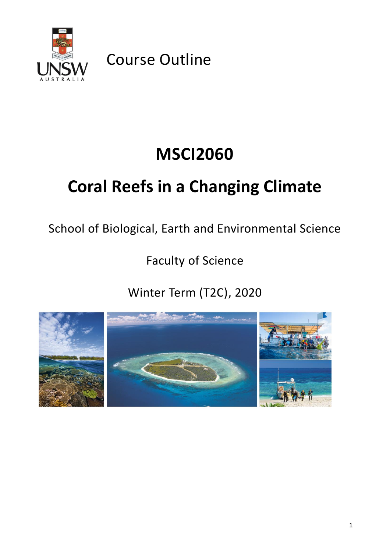

Course Outline

# **MSCI2060**

# **Coral Reefs in a Changing Climate**

School of Biological, Earth and Environmental Science

Faculty of Science

Winter Term (T2C), 2020

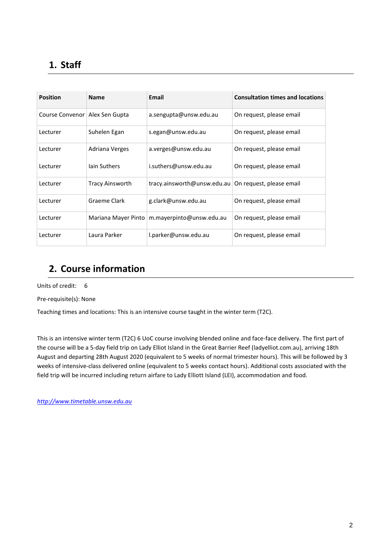# **1. Staff**

| <b>Position</b> | <b>Name</b>            | Email                                                  | <b>Consultation times and locations</b> |
|-----------------|------------------------|--------------------------------------------------------|-----------------------------------------|
| Course Convenor | Alex Sen Gupta         | a.sengupta@unsw.edu.au                                 | On request, please email                |
| Lecturer        | Suhelen Egan           | s.egan@unsw.edu.au                                     | On request, please email                |
| Lecturer        | Adriana Verges         | a.verges@unsw.edu.au                                   | On request, please email                |
| Lecturer        | lain Suthers           | i.suthers@unsw.edu.au                                  | On request, please email                |
| Lecturer        | <b>Tracy Ainsworth</b> | tracy.ainsworth@unsw.edu.au   On request, please email |                                         |
| Lecturer        | Graeme Clark           | g.clark@unsw.edu.au                                    | On request, please email                |
| Lecturer        |                        | Mariana Mayer Pinto   m.mayerpinto@unsw.edu.au         | On request, please email                |
| Lecturer        | Laura Parker           | l.parker@unsw.edu.au                                   | On request, please email                |

## **2. Course information**

Units of credit: 6

Pre-requisite(s): None

Teaching times and locations: This is an intensive course taught in the winter term (T2C).

This is an intensive winter term (T2C) 6 UoC course involving blended online and face-face delivery. The first part of the course will be a 5-day field trip on Lady Elliot Island in the Great Barrier Reef (ladyelliot.com.au), arriving 18th August and departing 28th August 2020 (equivalent to 5 weeks of normal trimester hours). This will be followed by 3 weeks of intensive-class delivered online (equivalent to 5 weeks contact hours). Additional costs associated with the field trip will be incurred including return airfare to Lady Elliott Island (LEI), accommodation and food.

*[http://www.timetable.unsw.edu.au](http://www.timetable.unsw.edu.au/)*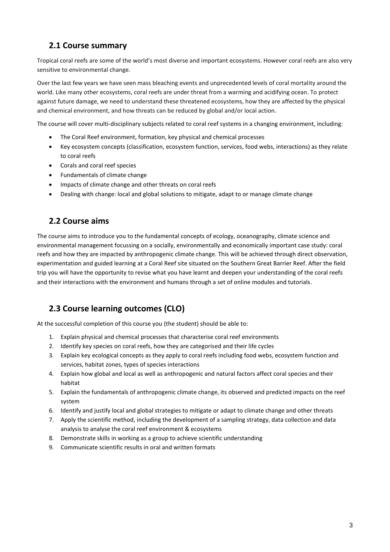## **2.1 Course summary**

Tropical coral reefs are some of the world's most diverse and important ecosystems. However coral reefs are also very sensitive to environmental change.

Over the last few years we have seen mass bleaching events and unprecedented levels of coral mortality around the world. Like many other ecosystems, coral reefs are under threat from a warming and acidifying ocean. To protect against future damage, we need to understand these threatened ecosystems, how they are affected by the physical and chemical environment, and how threats can be reduced by global and/or local action.

The course will cover multi-disciplinary subjects related to coral reef systems in a changing environment, including:

- The Coral Reef environment, formation, key physical and chemical processes
- Key ecosystem concepts (classification, ecosystem function, services, food webs, interactions) as they relate to coral reefs
- Corals and coral reef species
- Fundamentals of climate change
- Impacts of climate change and other threats on coral reefs
- Dealing with change: local and global solutions to mitigate, adapt to or manage climate change

### **2.2 Course aims**

The course aims to introduce you to the fundamental concepts of ecology, oceanography, climate science and environmental management focussing on a socially, environmentally and economically important case study: coral reefs and how they are impacted by anthropogenic climate change. This will be achieved through direct observation, experimentation and guided learning at a Coral Reef site situated on the Southern Great Barrier Reef. After the field trip you will have the opportunity to revise what you have learnt and deepen your understanding of the coral reefs and their interactions with the environment and humans through a set of online modules and tutorials.

## **2.3 Course learning outcomes (CLO)**

At the successful completion of this course you (the student) should be able to:

- 1. Explain physical and chemical processes that characterise coral reef environments
- 2. Identify key species on coral reefs, how they are categorised and their life cycles
- 3. Explain key ecological concepts as they apply to coral reefs including food webs, ecosystem function and services, habitat zones, types of species interactions
- 4. Explain how global and local as well as anthropogenic and natural factors affect coral species and their habitat
- 5. Explain the fundamentals of anthropogenic climate change, its observed and predicted impacts on the reef system
- 6. Identify and justify local and global strategies to mitigate or adapt to climate change and other threats
- 7. Apply the scientific method, including the development of a sampling strategy, data collection and data analysis to analyse the coral reef environment & ecosystems
- 8. Demonstrate skills in working as a group to achieve scientific understanding
- 9. Communicate scientific results in oral and written formats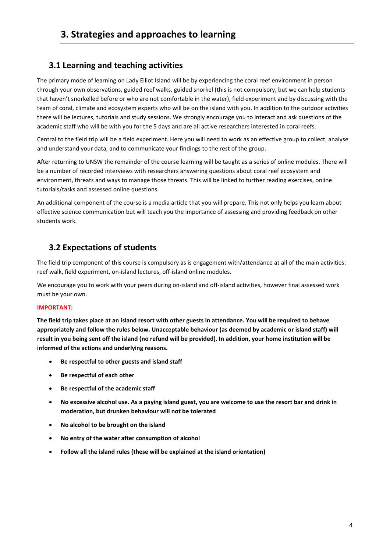## **3.1 Learning and teaching activities**

The primary mode of learning on Lady Elliot Island will be by experiencing the coral reef environment in person through your own observations, guided reef walks, guided snorkel (this is not compulsory, but we can help students that haven't snorkelled before or who are not comfortable in the water), field experiment and by discussing with the team of coral, climate and ecosystem experts who will be on the island with you. In addition to the outdoor activities there will be lectures, tutorials and study sessions. We strongly encourage you to interact and ask questions of the academic staff who will be with you for the 5 days and are all active researchers interested in coral reefs.

Central to the field trip will be a field experiment. Here you will need to work as an effective group to collect, analyse and understand your data, and to communicate your findings to the rest of the group.

After returning to UNSW the remainder of the course learning will be taught as a series of online modules. There will be a number of recorded interviews with researchers answering questions about coral reef ecosystem and environment, threats and ways to manage those threats. This will be linked to further reading exercises, online tutorials/tasks and assessed online questions.

An additional component of the course is a media article that you will prepare. This not only helps you learn about effective science communication but will teach you the importance of assessing and providing feedback on other students work.

## **3.2 Expectations of students**

The field trip component of this course is compulsory as is engagement with/attendance at all of the main activities: reef walk, field experiment, on-island lectures, off-island online modules.

We encourage you to work with your peers during on-island and off-island activities, however final assessed work must be your own.

#### **IMPORTANT:**

**The field trip takes place at an island resort with other guests in attendance. You will be required to behave appropriately and follow the rules below. Unacceptable behaviour (as deemed by academic or island staff) will result in you being sent off the island (no refund will be provided). In addition, your home institution will be informed of the actions and underlying reasons.** 

- **Be respectful to other guests and island staff**
- **Be respectful of each other**
- **Be respectful of the academic staff**
- **No excessive alcohol use. As a paying island guest, you are welcome to use the resort bar and drink in moderation, but drunken behaviour will not be tolerated**
- **No alcohol to be brought on the island**
- **No entry of the water after consumption of alcohol**
- **Follow all the island rules (these will be explained at the island orientation)**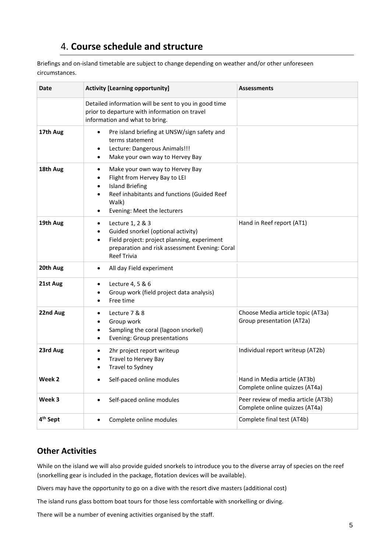## 4. **Course schedule and structure**

Briefings and on-island timetable are subject to change depending on weather and/or other unforeseen circumstances.

| Date                 | <b>Activity [Learning opportunity]</b>                                                                                                                                                  | <b>Assessments</b>                                                    |  |  |  |
|----------------------|-----------------------------------------------------------------------------------------------------------------------------------------------------------------------------------------|-----------------------------------------------------------------------|--|--|--|
|                      |                                                                                                                                                                                         |                                                                       |  |  |  |
|                      | Detailed information will be sent to you in good time<br>prior to departure with information on travel<br>information and what to bring.                                                |                                                                       |  |  |  |
| 17th Aug             | Pre island briefing at UNSW/sign safety and<br>$\bullet$<br>terms statement<br>Lecture: Dangerous Animals!!!<br>Make your own way to Hervey Bay<br>٠                                    |                                                                       |  |  |  |
| 18th Aug             | Make your own way to Hervey Bay<br>٠<br>Flight from Hervey Bay to LEI<br><b>Island Briefing</b><br>Reef inhabitants and functions (Guided Reef<br>Walk)<br>Evening: Meet the lecturers  |                                                                       |  |  |  |
| 19th Aug             | Lecture 1, 2 & 3<br>٠<br>Guided snorkel (optional activity)<br>Field project: project planning, experiment<br>٠<br>preparation and risk assessment Evening: Coral<br><b>Reef Trivia</b> | Hand in Reef report (AT1)                                             |  |  |  |
| 20th Aug             | All day Field experiment<br>٠                                                                                                                                                           |                                                                       |  |  |  |
| 21st Aug             | Lecture 4, 5 & 6<br>Group work (field project data analysis)<br>Free time                                                                                                               |                                                                       |  |  |  |
| 22nd Aug             | Lecture 7 & 8<br>Group work<br>Sampling the coral (lagoon snorkel)<br>Evening: Group presentations                                                                                      | Choose Media article topic (AT3a)<br>Group presentation (AT2a)        |  |  |  |
| 23rd Aug             | 2hr project report writeup<br>٠<br>Travel to Hervey Bay<br>Travel to Sydney                                                                                                             | Individual report writeup (AT2b)                                      |  |  |  |
| Week <sub>2</sub>    | Self-paced online modules                                                                                                                                                               | Hand in Media article (AT3b)<br>Complete online quizzes (AT4a)        |  |  |  |
| Week 3               | Self-paced online modules<br>$\bullet$                                                                                                                                                  | Peer review of media article (AT3b)<br>Complete online quizzes (AT4a) |  |  |  |
| 4 <sup>th</sup> Sept | Complete online modules<br>$\bullet$                                                                                                                                                    | Complete final test (AT4b)                                            |  |  |  |

## **Other Activities**

While on the island we will also provide guided snorkels to introduce you to the diverse array of species on the reef (snorkelling gear is included in the package, flotation devices will be available).

Divers may have the opportunity to go on a dive with the resort dive masters (additional cost)

The island runs glass bottom boat tours for those less comfortable with snorkelling or diving.

There will be a number of evening activities organised by the staff.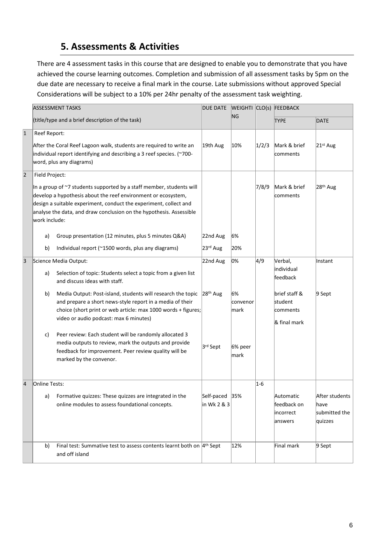# **5. Assessments & Activities**

There are 4 assessment tasks in this course that are designed to enable you to demonstrate that you have achieved the course learning outcomes. Completion and submission of all assessment tasks by 5pm on the due date are necessary to receive a final mark in the course. Late submissions without approved Special Considerations will be subject to a 10% per 24hr penalty of the assessment task weighting.

|           | <b>ASSESSMENT TASKS</b>                                                                                                                                                                                                                                                                                              |                                                                                                                                                                                                                                                                                                                                                                | DUE DATE WEIGHTI CLO(s) FEEDBACK |                              |             |                                                                           |                                                    |
|-----------|----------------------------------------------------------------------------------------------------------------------------------------------------------------------------------------------------------------------------------------------------------------------------------------------------------------------|----------------------------------------------------------------------------------------------------------------------------------------------------------------------------------------------------------------------------------------------------------------------------------------------------------------------------------------------------------------|----------------------------------|------------------------------|-------------|---------------------------------------------------------------------------|----------------------------------------------------|
|           |                                                                                                                                                                                                                                                                                                                      | ΝG<br>(title/type and a brief description of the task)                                                                                                                                                                                                                                                                                                         |                                  |                              | <b>TYPE</b> | <b>DATE</b>                                                               |                                                    |
| $\vert$ 1 | Reef Report:                                                                                                                                                                                                                                                                                                         | After the Coral Reef Lagoon walk, students are required to write an<br>individual report identifying and describing a 3 reef species. (~700-<br>word, plus any diagrams)                                                                                                                                                                                       | 19th Aug                         | 10%                          | 1/2/3       | Mark & brief<br>comments                                                  | $21st$ Aug                                         |
| 2         | Field Project:<br>In a group of ~7 students supported by a staff member, students will<br>develop a hypothesis about the reef environment or ecosystem,<br>design a suitable experiment, conduct the experiment, collect and<br>analyse the data, and draw conclusion on the hypothesis. Assessible<br>work include: |                                                                                                                                                                                                                                                                                                                                                                |                                  |                              | 7/8/9       | Mark & brief<br>comments                                                  | 28 <sup>th</sup> Aug                               |
|           | a)<br>b)                                                                                                                                                                                                                                                                                                             | Group presentation (12 minutes, plus 5 minutes Q&A)<br>Individual report (~1500 words, plus any diagrams)                                                                                                                                                                                                                                                      | 22nd Aug<br>23 <sup>rd</sup> Aug | 6%<br>20%                    |             |                                                                           |                                                    |
| 3         | a)<br>b)                                                                                                                                                                                                                                                                                                             | Science Media Output:<br>Selection of topic: Students select a topic from a given list<br>and discuss ideas with staff.<br>Media Output: Post-island, students will research the topic<br>and prepare a short news-style report in a media of their<br>choice (short print or web article: max 1000 words + figures;<br>video or audio podcast: max 6 minutes) |                                  | 0%<br>6%<br>convenor<br>mark | 4/9         | Verbal,<br>individual<br>feedback<br>brief staff &<br>student<br>comments | Instant<br>$9$ Sept                                |
|           | c)                                                                                                                                                                                                                                                                                                                   | Peer review: Each student will be randomly allocated 3<br>media outputs to review, mark the outputs and provide<br>feedback for improvement. Peer review quality will be<br>marked by the convenor.                                                                                                                                                            | 3rd Sept                         | 6% peer<br>mark              |             | & final mark                                                              |                                                    |
| 4         | Online Tests:                                                                                                                                                                                                                                                                                                        | a) Formative quizzes: These quizzes are integrated in the<br>online modules to assess foundational concepts.                                                                                                                                                                                                                                                   | Self-paced 35%<br>in Wk 2 & 3    |                              | $ 1-6 $     | Automatic<br>feedback on<br>incorrect<br>answers                          | After students<br>have<br>submitted the<br>quizzes |
|           | b)                                                                                                                                                                                                                                                                                                                   | Final test: Summative test to assess contents learnt both on $4th$ Sept<br>and off island                                                                                                                                                                                                                                                                      |                                  | 12%                          |             | Final mark                                                                | $9$ Sept                                           |